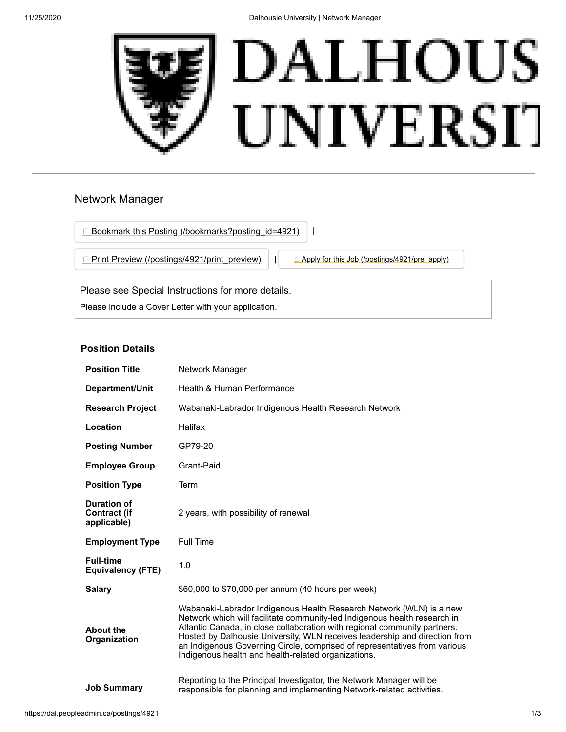

# Network Manager

□ [Bookmark this Posting \(/bookmarks?posting\\_id=4921\)](https://dal.peopleadmin.ca/bookmarks?posting_id=4921)

**[Print Preview \(/postings/4921/print\\_preview\)](https://dal.peopleadmin.ca/postings/4921/print_preview)** | **[Apply for this Job \(/postings/4921/pre\\_apply\)](https://dal.peopleadmin.ca/postings/4921/pre_apply)** 

Please see Special Instructions for more details. Please include a Cover Letter with your application.

# **Position Details**

| <b>Position Title</b>                                    | Network Manager                                                                                                                                                                                                                                                                                                                                                                                                                                 |
|----------------------------------------------------------|-------------------------------------------------------------------------------------------------------------------------------------------------------------------------------------------------------------------------------------------------------------------------------------------------------------------------------------------------------------------------------------------------------------------------------------------------|
| Department/Unit                                          | Health & Human Performance                                                                                                                                                                                                                                                                                                                                                                                                                      |
| <b>Research Project</b>                                  | Wabanaki-Labrador Indigenous Health Research Network                                                                                                                                                                                                                                                                                                                                                                                            |
| Location                                                 | Halifax                                                                                                                                                                                                                                                                                                                                                                                                                                         |
| <b>Posting Number</b>                                    | GP79-20                                                                                                                                                                                                                                                                                                                                                                                                                                         |
| <b>Employee Group</b>                                    | Grant-Paid                                                                                                                                                                                                                                                                                                                                                                                                                                      |
| <b>Position Type</b>                                     | Term                                                                                                                                                                                                                                                                                                                                                                                                                                            |
| <b>Duration of</b><br><b>Contract (if</b><br>applicable) | 2 years, with possibility of renewal                                                                                                                                                                                                                                                                                                                                                                                                            |
| <b>Employment Type</b>                                   | <b>Full Time</b>                                                                                                                                                                                                                                                                                                                                                                                                                                |
| <b>Full-time</b><br><b>Equivalency (FTE)</b>             | 1.0                                                                                                                                                                                                                                                                                                                                                                                                                                             |
| <b>Salary</b>                                            | \$60,000 to \$70,000 per annum (40 hours per week)                                                                                                                                                                                                                                                                                                                                                                                              |
| <b>About the</b><br>Organization                         | Wabanaki-Labrador Indigenous Health Research Network (WLN) is a new<br>Network which will facilitate community-led Indigenous health research in<br>Atlantic Canada, in close collaboration with regional community partners.<br>Hosted by Dalhousie University, WLN receives leadership and direction from<br>an Indigenous Governing Circle, comprised of representatives from various<br>Indigenous health and health-related organizations. |
| <b>Job Summary</b>                                       | Reporting to the Principal Investigator, the Network Manager will be<br>responsible for planning and implementing Network-related activities.                                                                                                                                                                                                                                                                                                   |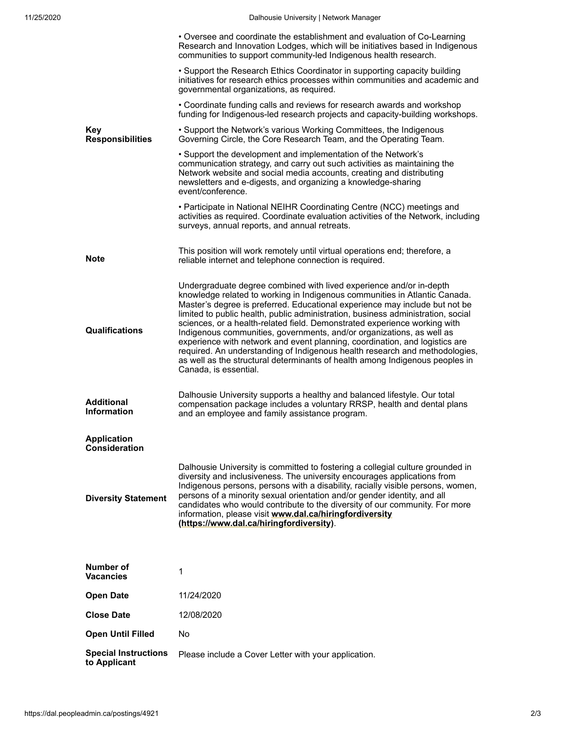11/25/2020 Dalhousie University | Network Manager

|                                             | • Oversee and coordinate the establishment and evaluation of Co-Learning<br>Research and Innovation Lodges, which will be initiatives based in Indigenous<br>communities to support community-led Indigenous health research.                                                                                                                                                                                                                                                                                                                                                                                                                                                                                                                     |
|---------------------------------------------|---------------------------------------------------------------------------------------------------------------------------------------------------------------------------------------------------------------------------------------------------------------------------------------------------------------------------------------------------------------------------------------------------------------------------------------------------------------------------------------------------------------------------------------------------------------------------------------------------------------------------------------------------------------------------------------------------------------------------------------------------|
|                                             | • Support the Research Ethics Coordinator in supporting capacity building<br>initiatives for research ethics processes within communities and academic and<br>governmental organizations, as required.                                                                                                                                                                                                                                                                                                                                                                                                                                                                                                                                            |
|                                             | • Coordinate funding calls and reviews for research awards and workshop<br>funding for Indigenous-led research projects and capacity-building workshops.                                                                                                                                                                                                                                                                                                                                                                                                                                                                                                                                                                                          |
| <b>Key</b><br><b>Responsibilities</b>       | • Support the Network's various Working Committees, the Indigenous<br>Governing Circle, the Core Research Team, and the Operating Team.                                                                                                                                                                                                                                                                                                                                                                                                                                                                                                                                                                                                           |
|                                             | • Support the development and implementation of the Network's<br>communication strategy, and carry out such activities as maintaining the<br>Network website and social media accounts, creating and distributing<br>newsletters and e-digests, and organizing a knowledge-sharing<br>event/conference.                                                                                                                                                                                                                                                                                                                                                                                                                                           |
|                                             | • Participate in National NEIHR Coordinating Centre (NCC) meetings and<br>activities as required. Coordinate evaluation activities of the Network, including<br>surveys, annual reports, and annual retreats.                                                                                                                                                                                                                                                                                                                                                                                                                                                                                                                                     |
| <b>Note</b>                                 | This position will work remotely until virtual operations end; therefore, a<br>reliable internet and telephone connection is required.                                                                                                                                                                                                                                                                                                                                                                                                                                                                                                                                                                                                            |
| <b>Qualifications</b>                       | Undergraduate degree combined with lived experience and/or in-depth<br>knowledge related to working in Indigenous communities in Atlantic Canada.<br>Master's degree is preferred. Educational experience may include but not be<br>limited to public health, public administration, business administration, social<br>sciences, or a health-related field. Demonstrated experience working with<br>Indigenous communities, governments, and/or organizations, as well as<br>experience with network and event planning, coordination, and logistics are<br>required. An understanding of Indigenous health research and methodologies,<br>as well as the structural determinants of health among Indigenous peoples in<br>Canada, is essential. |
| <b>Additional</b><br><b>Information</b>     | Dalhousie University supports a healthy and balanced lifestyle. Our total<br>compensation package includes a voluntary RRSP, health and dental plans<br>and an employee and family assistance program.                                                                                                                                                                                                                                                                                                                                                                                                                                                                                                                                            |
| <b>Application</b><br><b>Consideration</b>  |                                                                                                                                                                                                                                                                                                                                                                                                                                                                                                                                                                                                                                                                                                                                                   |
| <b>Diversity Statement</b>                  | Dalhousie University is committed to fostering a collegial culture grounded in<br>diversity and inclusiveness. The university encourages applications from<br>Indigenous persons, persons with a disability, racially visible persons, women,<br>persons of a minority sexual orientation and/or gender identity, and all<br>candidates who would contribute to the diversity of our community. For more<br>information, please visit www.dal.ca/hiringfordiversity<br>(https://www.dal.ca/hiringfordiversity).                                                                                                                                                                                                                                   |
|                                             |                                                                                                                                                                                                                                                                                                                                                                                                                                                                                                                                                                                                                                                                                                                                                   |
| Number of<br><b>Vacancies</b>               | 1                                                                                                                                                                                                                                                                                                                                                                                                                                                                                                                                                                                                                                                                                                                                                 |
| <b>Open Date</b>                            | 11/24/2020                                                                                                                                                                                                                                                                                                                                                                                                                                                                                                                                                                                                                                                                                                                                        |
| <b>Close Date</b>                           | 12/08/2020                                                                                                                                                                                                                                                                                                                                                                                                                                                                                                                                                                                                                                                                                                                                        |
| <b>Open Until Filled</b>                    | No                                                                                                                                                                                                                                                                                                                                                                                                                                                                                                                                                                                                                                                                                                                                                |
| <b>Special Instructions</b><br>to Applicant | Please include a Cover Letter with your application.                                                                                                                                                                                                                                                                                                                                                                                                                                                                                                                                                                                                                                                                                              |